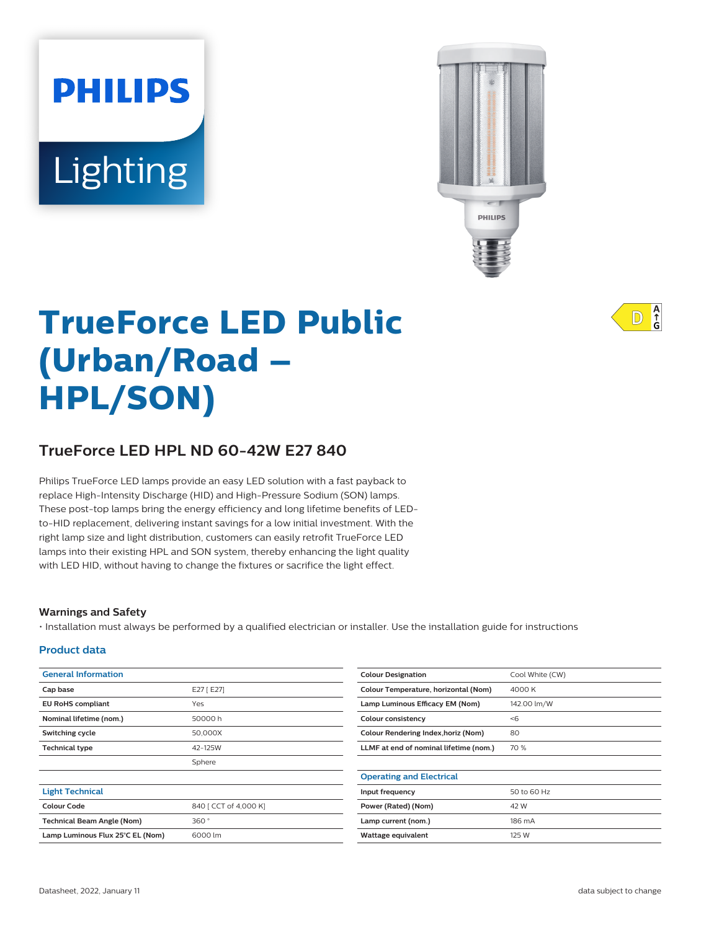# **PHILIPS** Lighting



# **TrueForce LED Public (Urban/Road – HPL/SON)**

# **TrueForce LED HPL ND 60-42W E27 840**

Philips TrueForce LED lamps provide an easy LED solution with a fast payback to replace High-Intensity Discharge (HID) and High-Pressure Sodium (SON) lamps. These post-top lamps bring the energy efficiency and long lifetime benefits of LEDto-HID replacement, delivering instant savings for a low initial investment. With the right lamp size and light distribution, customers can easily retrofit TrueForce LED lamps into their existing HPL and SON system, thereby enhancing the light quality with LED HID, without having to change the fixtures or sacrifice the light effect.

#### **Warnings and Safety**

• Installation must always be performed by a qualified electrician or installer. Use the installation guide for instructions

#### **Product data**

| <b>General Information</b>        |                       | <b>Colour Designation</b>                  | Cool White (CW) |
|-----------------------------------|-----------------------|--------------------------------------------|-----------------|
| Cap base                          | E27 [E27]             | Colour Temperature, horizontal (Nom)       | 4000 K          |
| <b>EU RoHS compliant</b>          | Yes                   | Lamp Luminous Efficacy EM (Nom)            | 142.00 lm/W     |
| Nominal lifetime (nom.)           | 50000h                | Colour consistency                         | < 6             |
| Switching cycle                   | 50,000X               | <b>Colour Rendering Index, horiz (Nom)</b> | 80              |
| <b>Technical type</b>             | 42-125W               | LLMF at end of nominal lifetime (nom.)     | 70 %            |
|                                   | Sphere                |                                            |                 |
|                                   |                       | <b>Operating and Electrical</b>            |                 |
| <b>Light Technical</b>            |                       | Input frequency                            | 50 to 60 Hz     |
| <b>Colour Code</b>                | 840 [ CCT of 4,000 K] | Power (Rated) (Nom)                        | 42 W            |
| <b>Technical Beam Angle (Nom)</b> | 360°                  | Lamp current (nom.)                        | 186 mA          |
| Lamp Luminous Flux 25°C EL (Nom)  | 6000 lm               | Wattage equivalent                         | 125 W           |
|                                   |                       |                                            |                 |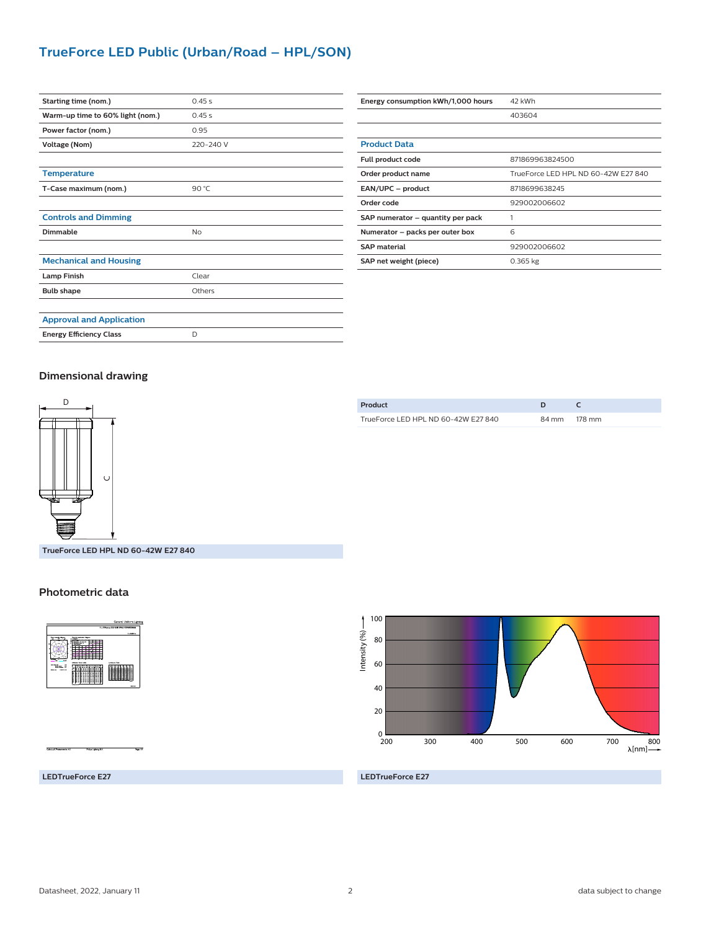# **TrueForce LED Public (Urban/Road – HPL/SON)**

| Starting time (nom.)             | 0.45s     |
|----------------------------------|-----------|
| Warm-up time to 60% light (nom.) | 0.45 s    |
| Power factor (nom.)              | 0.95      |
| Voltage (Nom)                    | 220-240 V |
|                                  |           |
| <b>Temperature</b>               |           |
| T-Case maximum (nom.)            | 90 °C     |
|                                  |           |
| <b>Controls and Dimming</b>      |           |
| Dimmable                         | No        |
|                                  |           |
| <b>Mechanical and Housing</b>    |           |
| <b>Lamp Finish</b>               | Clear     |
| <b>Bulb shape</b>                | Others    |
|                                  |           |
| <b>Approval and Application</b>  |           |
| <b>Energy Efficiency Class</b>   | D         |

| Energy consumption kWh/1,000 hours | 42 kWh                              |  |
|------------------------------------|-------------------------------------|--|
|                                    | 403604                              |  |
|                                    |                                     |  |
| <b>Product Data</b>                |                                     |  |
| Full product code                  | 871869963824500                     |  |
| Order product name                 | TrueForce LED HPL ND 60-42W E27 840 |  |
| EAN/UPC - product                  | 8718699638245                       |  |
| Order code                         | 929002006602                        |  |
| SAP numerator - quantity per pack  | 1                                   |  |
| Numerator - packs per outer box    | 6                                   |  |
| <b>SAP</b> material                | 929002006602                        |  |
| SAP net weight (piece)             | $0.365$ kg                          |  |

#### **Dimensional drawing**



**TrueForce LED HPL ND 60-42W E27 840**

#### **Photometric data**







#### **LEDTrueForce E27**

**LEDTrueForce E27**